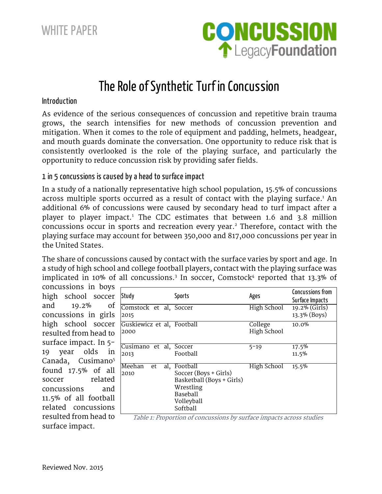WHITE PAPER



# The Role of Synthetic Turf in Concussion

#### Introduction

As evidence of the serious consequences of concussion and repetitive brain trauma grows, the search intensifies for new methods of concussion prevention and mitigation. When it comes to the role of equipment and padding, helmets, headgear, and mouth guards dominate the conversation. One opportunity to reduce risk that is consistently overlooked is the role of the playing surface, and particularly the opportunity to reduce concussion risk by providing safer fields.

#### 1 in 5 concussions is caused by a head to surface impact

In a study of a nationally representative high school population, 15.5% of concussions across multiple sports occurred as a result of contact with the playing surface. <sup>1</sup> An additional 6% of concussions were caused by secondary head to turf impact after a player to player impact.<sup>1</sup> The CDC estimates that between 1.6 and 3.8 million concussions occur in sports and recreation every year. <sup>2</sup> Therefore, contact with the playing surface may account for between 350,000 and 817,000 concussions per year in the United States.

The share of concussions caused by contact with the surface varies by sport and age. In a study of high school and college football players, contact with the playing surface was implicated in 10% of all concussions.<sup>3</sup> In soccer, Comstock<sup>4</sup> reported that 13.3% of

concussions in boys high school soccer and 19.2% of concussions in girls high school soccer resulted from head to surface impact. In 5- 19 year olds in Canada, Cusimano<sup>5</sup> found 17.5% of all soccer related concussions and 11.5% of all football related concussions resulted from head to surface impact.

| Study                              | Sports                                                                                                            | Ages                   | Concussions from<br>Surface Impacts |
|------------------------------------|-------------------------------------------------------------------------------------------------------------------|------------------------|-------------------------------------|
| Comstock et al, Soccer<br>2015     |                                                                                                                   | High School            | 19.2% (Girls)<br>13.3% (Boys)       |
| Guskiewicz et al, Football<br>2000 |                                                                                                                   | College<br>High School | 10.0%                               |
| Cusimano et al, Soccer<br>2013     | Football                                                                                                          | $5 - 19$               | 17.5%<br>11.5%                      |
| Meehan<br>al,<br>et<br>2010        | Football<br>Soccer (Boys + Girls)<br>Basketball (Boys + Girls)<br>Wrestling<br>Baseball<br>Volleyball<br>Softball | High School<br>$\sim$  | 15.5%<br>$\rightarrow$              |

Table 1: Proportion of concussions by surface impacts across studies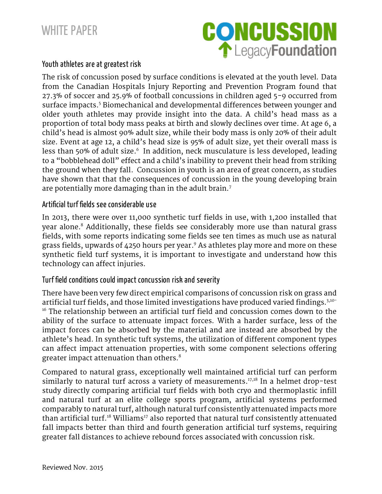

## Youth athletes are at greatest risk

The risk of concussion posed by surface conditions is elevated at the youth level. Data from the Canadian Hospitals Injury Reporting and Prevention Program found that 27.3% of soccer and 25.9% of football concussions in children aged 5-9 occurred from surface impacts.<sup>5</sup> Biomechanical and developmental differences between younger and older youth athletes may provide insight into the data. A child's head mass as a proportion of total body mass peaks at birth and slowly declines over time. At age 6, a child's head is almost 90% adult size, while their body mass is only 20% of their adult size. Event at age 12, a child's head size is 95% of adult size, yet their overall mass is less than 50% of adult size. 6 In addition, neck musculature is less developed, leading to a "bobblehead doll" effect and a child's inability to prevent their head from striking the ground when they fall. Concussion in youth is an area of great concern, as studies have shown that that the consequences of concussion in the young developing brain are potentially more damaging than in the adult brain. $<sup>7</sup>$ </sup>

#### Artificial turf fields see considerable use

In 2013, there were over 11,000 synthetic turf fields in use, with 1,200 installed that year alone.<sup>8</sup> Additionally, these fields see considerably more use than natural grass fields, with some reports indicating some fields see ten times as much use as natural grass fields, upwards of 4250 hours per year. <sup>9</sup> As athletes play more and more on these synthetic field turf systems, it is important to investigate and understand how this technology can affect injuries.

#### Turf field conditions could impact concussion risk and severity

There have been very few direct empirical comparisons of concussion risk on grass and artificial turf fields, and those limited investigations have produced varied findings. 3,10- <sup>16</sup> The relationship between an artificial turf field and concussion comes down to the ability of the surface to attenuate impact forces. With a harder surface, less of the impact forces can be absorbed by the material and are instead are absorbed by the athlete's head. In synthetic tuft systems, the utilization of different component types can affect impact attenuation properties, with some component selections offering greater impact attenuation than others.<sup>8</sup>

Compared to natural grass, exceptionally well maintained artificial turf can perform similarly to natural turf across a variety of measurements. 17,18 In a helmet drop-test study directly comparing artificial turf fields with both cryo and thermoplastic infill and natural turf at an elite college sports program, artificial systems performed comparably to natural turf, although natural turf consistently attenuated impacts more than artificial turf.<sup>18</sup> Williams<sup>17</sup> also reported that natural turf consistently attenuated fall impacts better than third and fourth generation artificial turf systems, requiring greater fall distances to achieve rebound forces associated with concussion risk.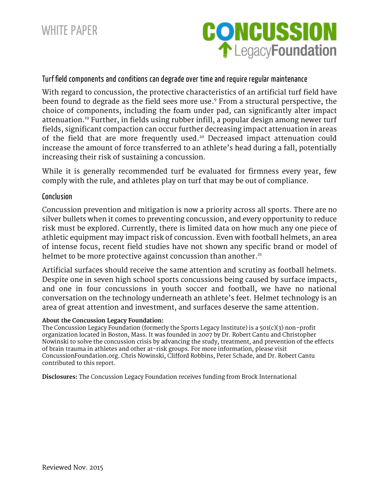

### Turf field components and conditions can degrade over time and require regular maintenance

With regard to concussion, the protective characteristics of an artificial turf field have been found to degrade as the field sees more use. <sup>9</sup> From a structural perspective, the choice of components, including the foam under pad, can significantly alter impact attenuation. <sup>19</sup> Further, in fields using rubber infill, a popular design among newer turf fields, significant compaction can occur further decreasing impact attenuation in areas of the field that are more frequently used. <sup>20</sup> Decreased impact attenuation could increase the amount of force transferred to an athlete's head during a fall, potentially increasing their risk of sustaining a concussion.

While it is generally recommended turf be evaluated for firmness every year, few comply with the rule, and athletes play on turf that may be out of compliance.

#### Conclusion

Concussion prevention and mitigation is now a priority across all sports. There are no silver bullets when it comes to preventing concussion, and every opportunity to reduce risk must be explored. Currently, there is limited data on how much any one piece of athletic equipment may impact risk of concussion. Even with football helmets, an area of intense focus, recent field studies have not shown any specific brand or model of helmet to be more protective against concussion than another.<sup>21</sup>

Artificial surfaces should receive the same attention and scrutiny as football helmets. Despite one in seven high school sports concussions being caused by surface impacts, and one in four concussions in youth soccer and football, we have no national conversation on the technology underneath an athlete's feet. Helmet technology is an area of great attention and investment, and surfaces deserve the same attention.

#### **About the Concussion Legacy Foundation:**

The Concussion Legacy Foundation (formerly the Sports Legacy Institute) is a 501(c)(3) non-profit organization located in Boston, Mass. It was founded in 2007 by Dr. Robert Cantu and Christopher Nowinski to solve the concussion crisis by advancing the study, treatment, and prevention of the effects of brain trauma in athletes and other at-risk groups. For more information, please visit ConcussionFoundation.org. Chris Nowinski, Clifford Robbins, Peter Schade, and Dr. Robert Cantu contributed to this report.

**Disclosures:** The Concussion Legacy Foundation receives funding from Brock International